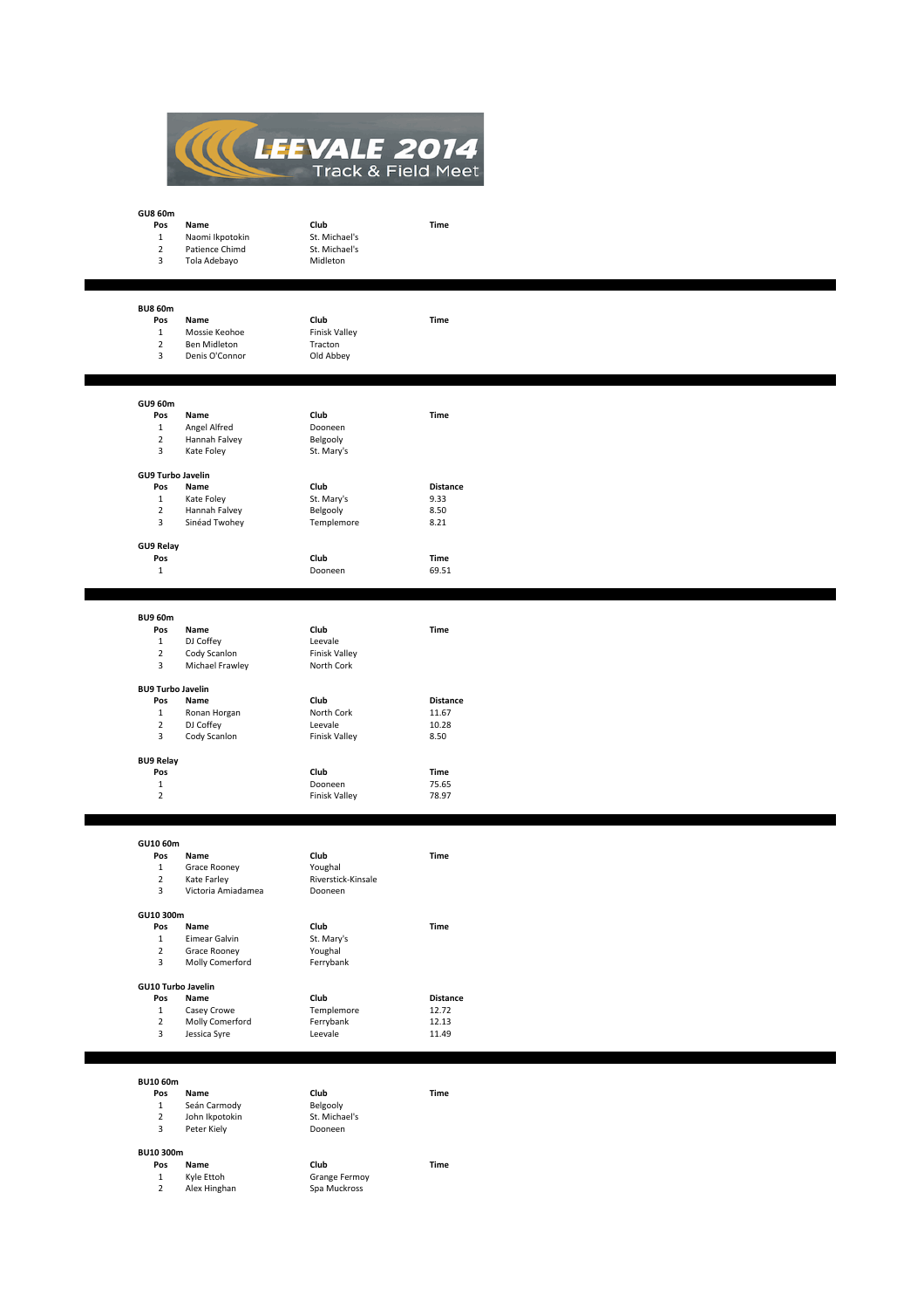

| <b>GU8 60m</b>           |                    |                    |                 |  |
|--------------------------|--------------------|--------------------|-----------------|--|
| Pos                      | Name               | Club               | Time            |  |
| $\mathbf{1}$             | Naomi Ikpotokin    | St. Michael's      |                 |  |
| $\overline{2}$           | Patience Chimd     | St. Michael's      |                 |  |
| 3                        | Tola Adebayo       | Midleton           |                 |  |
|                          |                    |                    |                 |  |
|                          |                    |                    |                 |  |
|                          |                    |                    |                 |  |
| <b>BU8 60m</b>           |                    |                    |                 |  |
| Pos                      |                    | Club               |                 |  |
|                          | Name               |                    | Time            |  |
| $\mathbf{1}$             | Mossie Keohoe      | Finisk Valley      |                 |  |
| $\overline{2}$           | Ben Midleton       | Tracton            |                 |  |
| 3                        | Denis O'Connor     | Old Abbey          |                 |  |
|                          |                    |                    |                 |  |
|                          |                    |                    |                 |  |
|                          |                    |                    |                 |  |
| GU9 60m                  |                    |                    |                 |  |
| Pos                      | Name               | Club               | Time            |  |
| $\mathbf 1$              | Angel Alfred       | Dooneen            |                 |  |
| $\overline{2}$           | Hannah Falvey      | Belgooly           |                 |  |
| 3                        | Kate Foley         | St. Mary's         |                 |  |
|                          |                    |                    |                 |  |
| <b>GU9 Turbo Javelin</b> |                    |                    |                 |  |
| Pos                      | Name               | Club               | <b>Distance</b> |  |
| $\mathbf{1}$             | Kate Foley         | St. Mary's         | 9.33            |  |
| $\overline{2}$           |                    |                    |                 |  |
| 3                        | Hannah Falvey      | Belgooly           | 8.50            |  |
|                          | Sinéad Twohey      | Templemore         | 8.21            |  |
|                          |                    |                    |                 |  |
| GU9 Relay                |                    |                    |                 |  |
| Pos                      |                    | Club               | Time            |  |
| $\mathbf{1}$             |                    | Dooneen            | 69.51           |  |
|                          |                    |                    |                 |  |
|                          |                    |                    |                 |  |
|                          |                    |                    |                 |  |
| <b>BU9 60m</b>           |                    |                    |                 |  |
| Pos                      | Name               | Club               | Time            |  |
| $\mathbf{1}$             | DJ Coffey          | Leevale            |                 |  |
| $\overline{2}$           | Cody Scanlon       | Finisk Valley      |                 |  |
| 3                        | Michael Frawley    | North Cork         |                 |  |
|                          |                    |                    |                 |  |
| <b>BU9 Turbo Javelin</b> |                    |                    |                 |  |
| Pos                      | Name               | Club               | <b>Distance</b> |  |
| $\mathbf{1}$             | Ronan Horgan       | North Cork         | 11.67           |  |
| $\overline{2}$           | DJ Coffey          | Leevale            | 10.28           |  |
| 3                        | Cody Scanlon       | Finisk Valley      | 8.50            |  |
|                          |                    |                    |                 |  |
| <b>BU9 Relay</b>         |                    |                    |                 |  |
| Pos                      |                    | Club               | Time            |  |
|                          |                    |                    |                 |  |
| $\mathbf 1$              |                    | Dooneen            | 75.65           |  |
| $\overline{2}$           |                    | Finisk Valley      | 78.97           |  |
|                          |                    |                    |                 |  |
|                          |                    |                    |                 |  |
|                          |                    |                    |                 |  |
| GU10 60m                 |                    |                    |                 |  |
| Pos                      | Name               | Club               | Time            |  |
| $\mathbf{1}$             | Grace Rooney       | Youghal            |                 |  |
| $\overline{2}$           | Kate Farley        | Riverstick-Kinsale |                 |  |
| 3                        | Victoria Amiadamea | Dooneen            |                 |  |
|                          |                    |                    |                 |  |
| GU10 300m                |                    |                    |                 |  |
| Pos                      | Name               | Club               | Time            |  |
| $\mathbf{1}$             | Eimear Galvin      | St. Mary's         |                 |  |
| $\overline{2}$           | Grace Rooney       | Youghal            |                 |  |
| 3                        | Molly Comerford    | Ferrybank          |                 |  |
|                          |                    |                    |                 |  |
|                          | GU10 Turbo Javelin |                    |                 |  |
| Pos                      | Name               | Club               | <b>Distance</b> |  |
| $\mathbf 1$              | Casey Crowe        | Templemore         | 12.72           |  |
| $\overline{2}$           | Molly Comerford    | Ferrybank          | 12.13           |  |
| 3                        | Jessica Syre       | Leevale            | 11.49           |  |
|                          |                    |                    |                 |  |
|                          |                    |                    |                 |  |
|                          |                    |                    |                 |  |
| <b>BU10 60m</b>          |                    |                    |                 |  |
|                          |                    |                    |                 |  |
| Pos                      | Name               | Club               | Time            |  |
| $\mathbf{1}$             | Seán Carmody       | Belgooly           |                 |  |
| $\overline{2}$           | John Ikpotokin     | St. Michael's      |                 |  |
| 3                        | Peter Kiely        | Dooneen            |                 |  |
|                          |                    |                    |                 |  |
| BU10 300m                |                    |                    |                 |  |
| Pos                      | Name               | Club               | Time            |  |
| $\mathbf{1}$             | Kyle Ettoh         | Grange Fermoy      |                 |  |
| $\overline{2}$           | Alex Hinghan       | Spa Muckross       |                 |  |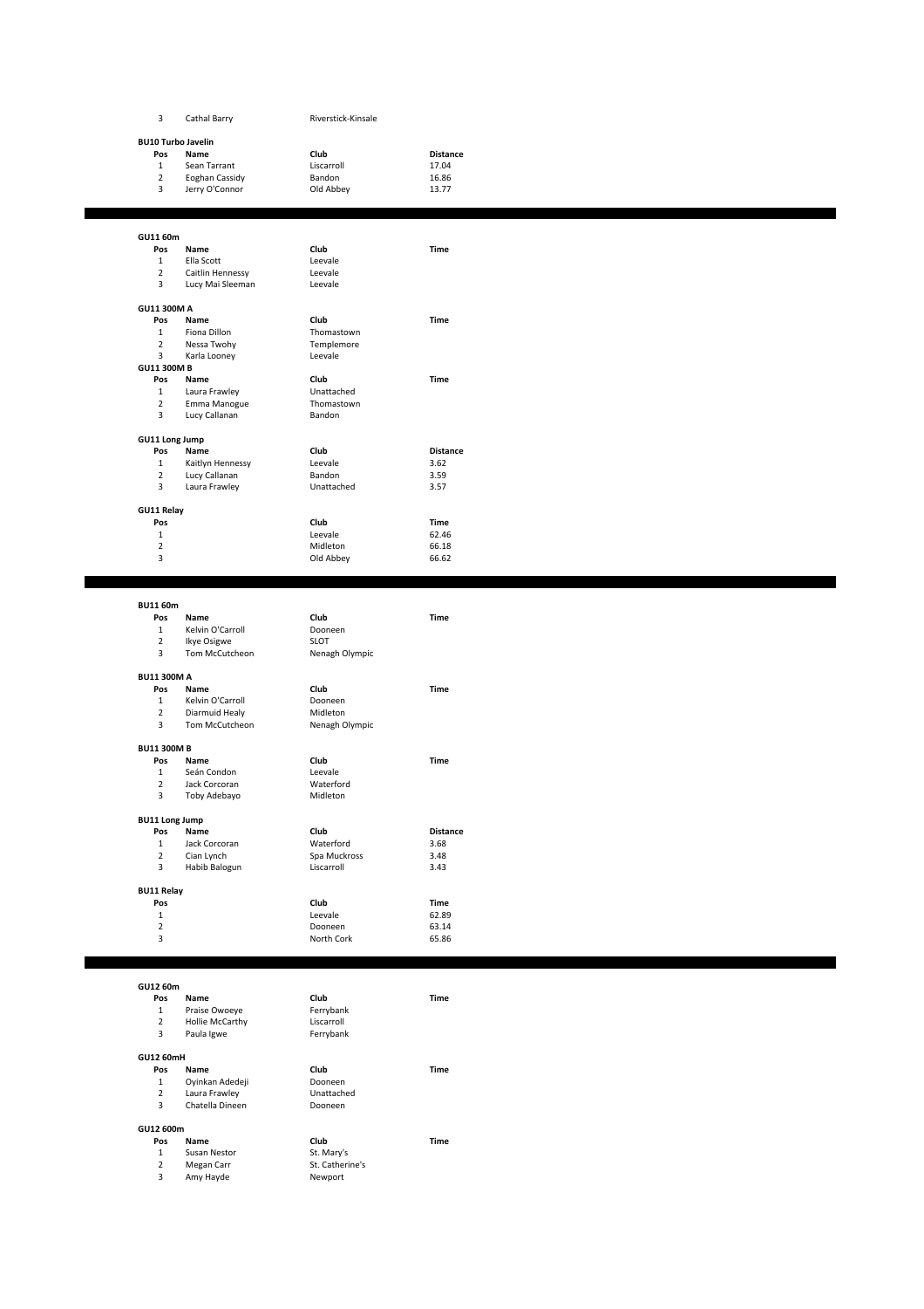| 3                                | Cathal Barry                       | Riverstick-Kinsale            |                 |  |
|----------------------------------|------------------------------------|-------------------------------|-----------------|--|
|                                  |                                    |                               |                 |  |
| <b>BU10 Turbo Javelin</b><br>Pos | Name                               | Club                          | <b>Distance</b> |  |
| $\mathbf{1}$                     | Sean Tarrant                       | Liscarroll                    | 17.04           |  |
| $\mathbf 2$                      | Eoghan Cassidy                     | Bandon                        | 16.86           |  |
| 3                                | Jerry O'Connor                     | Old Abbey                     | 13.77           |  |
|                                  |                                    |                               |                 |  |
|                                  |                                    |                               |                 |  |
| GU11 60m<br>Pos                  | Name                               | Club                          | Time            |  |
| $\mathbf{1}$                     | Ella Scott                         | Leevale                       |                 |  |
| $\overline{2}$                   | Caitlin Hennessy                   | Leevale                       |                 |  |
| 3                                | Lucy Mai Sleeman                   | Leevale                       |                 |  |
| GU11 300M A                      |                                    |                               |                 |  |
| Pos                              | Name                               | Club                          | Time            |  |
| $\mathbf{1}$                     | Fiona Dillon                       | Thomastown                    |                 |  |
| $\overline{2}$                   | Nessa Twohy                        | Templemore                    |                 |  |
| 3<br><b>GU11 300M B</b>          | Karla Looney                       | Leevale                       |                 |  |
| Pos                              | Name                               | Club                          | Time            |  |
| $\mathbf{1}$                     | Laura Frawley                      | Unattached                    |                 |  |
| $\mathbf 2$                      | Emma Manogue                       | Thomastown                    |                 |  |
| 3                                | Lucy Callanan                      | Bandon                        |                 |  |
| GU11 Long Jump                   |                                    |                               |                 |  |
| Pos                              | Name                               | Club                          | <b>Distance</b> |  |
| $\mathbf{1}$                     | Kaitlyn Hennessy                   | Leevale                       | 3.62            |  |
| $\overline{2}$                   | Lucy Callanan                      | Bandon                        | 3.59            |  |
| 3                                | Laura Frawley                      | Unattached                    | 3.57            |  |
| <b>GU11 Relay</b>                |                                    |                               |                 |  |
| Pos                              |                                    | Club                          | Time            |  |
| $\mathbf 1$                      |                                    | Leevale                       | 62.46           |  |
| $\overline{2}$<br>3              |                                    | Midleton<br>Old Abbey         | 66.18<br>66.62  |  |
|                                  |                                    |                               |                 |  |
|                                  |                                    |                               |                 |  |
| <b>BU11 60m</b>                  |                                    |                               |                 |  |
| Pos                              | Name                               | Club                          | Time            |  |
| $\mathbf{1}$                     | Kelvin O'Carroll                   | Dooneen                       |                 |  |
| $\mathbf 2$<br>3                 | Ikye Osigwe<br>Tom McCutcheon      | <b>SLOT</b><br>Nenagh Olympic |                 |  |
|                                  |                                    |                               |                 |  |
| <b>BU11 300M A</b>               |                                    |                               |                 |  |
| Pos                              | Name                               | Club                          | Time            |  |
| 1<br>$\overline{2}$              | Kelvin O'Carroll<br>Diarmuid Healy | Dooneen<br>Midleton           |                 |  |
| 3                                | Tom McCutcheon                     | Nenagh Olympic                |                 |  |
|                                  |                                    |                               |                 |  |
| <b>BU11 300M B</b><br>Pos        | Name                               | Club                          | Time            |  |
| $\mathbf{1}$                     | Seán Condon                        | Leevale                       |                 |  |
| $\overline{2}$                   | Jack Corcoran                      | Waterford                     |                 |  |
| 3                                | Toby Adebayo                       | Midleton                      |                 |  |
| <b>BU11 Long Jump</b>            |                                    |                               |                 |  |
| Pos                              | Name                               | Club                          | <b>Distance</b> |  |
| $\mathbf{1}$                     | Jack Corcoran                      | Waterford                     | 3.68            |  |
| $\mathbf 2$                      | Cian Lynch                         | Spa Muckross                  | 3.48            |  |
| 3                                | Habib Balogun                      | Liscarroll                    | 3.43            |  |
| <b>BU11 Relay</b>                |                                    |                               |                 |  |
| Pos                              |                                    | Club                          | Time            |  |
| $\mathbf{1}$<br>$\overline{2}$   |                                    | Leevale<br>Dooneen            | 62.89<br>63.14  |  |
| 3                                |                                    | North Cork                    | 65.86           |  |
|                                  |                                    |                               |                 |  |
|                                  |                                    |                               |                 |  |
| GU12 60m                         |                                    |                               |                 |  |
| Pos<br>$\mathbf{1}$              | Name<br>Praise Owoeye              | Club<br>Ferrybank             | Time            |  |
| $\overline{2}$                   | Hollie McCarthy                    | Liscarroll                    |                 |  |
| 3                                | Paula Igwe                         | Ferrybank                     |                 |  |
|                                  |                                    |                               |                 |  |
| GU12 60mH<br>Pos                 | Name                               | Club                          | Time            |  |
| $\mathbf{1}$                     | Oyinkan Adedeji                    | Dooneen                       |                 |  |
| $\overline{2}$                   | Laura Frawley                      | Unattached                    |                 |  |
| 3                                | Chatella Dineen                    | Dooneen                       |                 |  |
| GU12 600m                        |                                    |                               |                 |  |
| Pos                              | Name                               | Club                          | Time            |  |
| $\mathbf{1}$                     | Susan Nestor                       | St. Mary's                    |                 |  |
| $\overline{2}$                   | Megan Carr                         | St. Catherine's               |                 |  |
| 3                                | Amy Hayde                          | Newport                       |                 |  |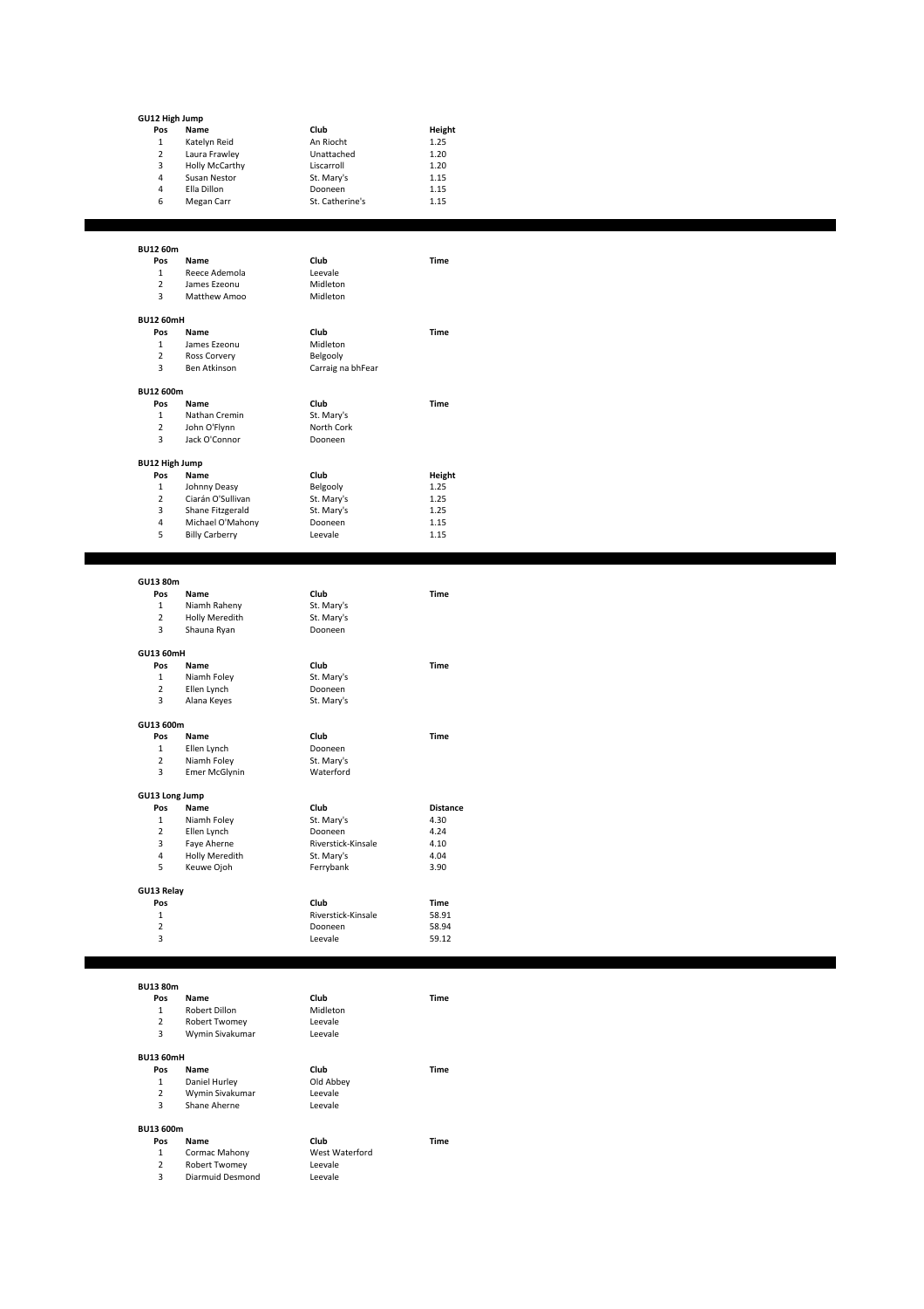| GU12 High Jump                 |                                  |                            |                  |
|--------------------------------|----------------------------------|----------------------------|------------------|
| Pos                            | Name                             | Club                       | Height           |
| $\mathbf{1}$                   | Katelyn Reid                     | An Riocht                  | 1.25             |
| $\overline{2}$                 | Laura Frawley                    | Unattached                 | 1.20             |
| 3                              | Holly McCarthy                   | Liscarroll                 | 1.20             |
| $\pmb{4}$                      | Susan Nestor                     | St. Mary's                 | 1.15             |
| 4<br>6                         | Ella Dillon<br>Megan Carr        | Dooneen<br>St. Catherine's | 1.15<br>1.15     |
|                                |                                  |                            |                  |
|                                |                                  |                            |                  |
| BU12 60m                       |                                  |                            |                  |
| Pos                            | Name                             | Club                       | Time             |
| $\mathbf{1}$                   | Reece Ademola                    | Leevale                    |                  |
| $\mathbf 2$                    | James Ezeonu                     | Midleton                   |                  |
| 3                              | Matthew Amoo                     | Midleton                   |                  |
|                                |                                  |                            |                  |
| <b>BU12 60mH</b>               |                                  |                            |                  |
| Pos                            | Name                             | Club                       | Time             |
| $\mathbf{1}$<br>$\mathbf 2$    | James Ezeonu<br>Ross Corvery     | Midleton<br>Belgooly       |                  |
| 3                              | Ben Atkinson                     | Carraig na bhFear          |                  |
|                                |                                  |                            |                  |
| BU12 600m                      |                                  |                            |                  |
| Pos                            | Name                             | Club                       | Time             |
| $\mathbf{1}$                   | Nathan Cremin                    | St. Mary's                 |                  |
| $\overline{2}$                 | John O'Flynn                     | North Cork                 |                  |
| 3                              | Jack O'Connor                    | Dooneen                    |                  |
| <b>BU12 High Jump</b>          |                                  |                            |                  |
| Pos                            | Name                             | Club                       | Height           |
| $\mathbf{1}$                   | Johnny Deasy                     | Belgooly                   | 1.25             |
| $\overline{2}$                 | Ciarán O'Sullivan                | St. Mary's                 | 1.25             |
| 3                              | Shane Fitzgerald                 | St. Mary's                 | 1.25             |
| 4                              | Michael O'Mahony                 | Dooneen                    | 1.15             |
| 5                              | <b>Billy Carberry</b>            | Leevale                    | 1.15             |
|                                |                                  |                            |                  |
|                                |                                  |                            |                  |
| GU13 80m                       |                                  |                            |                  |
| Pos                            | Name                             | Club                       | Time             |
| $\mathbf{1}$                   | Niamh Raheny                     | St. Mary's                 |                  |
|                                |                                  |                            |                  |
| $\overline{2}$                 | Holly Meredith                   | St. Mary's                 |                  |
| 3                              | Shauna Ryan                      | Dooneen                    |                  |
| GU13 60mH                      |                                  |                            |                  |
| Pos                            | Name                             | Club                       | Time             |
| $\mathbf{1}$                   | Niamh Foley                      | St. Mary's                 |                  |
| $\overline{2}$                 | Ellen Lynch                      | Dooneen                    |                  |
| 3                              | Alana Keyes                      | St. Mary's                 |                  |
| GU13 600m                      |                                  |                            |                  |
| Pos                            | Name                             | Club                       | Time             |
| $\mathbf 1$                    | Ellen Lynch                      | Dooneen                    |                  |
| $\overline{2}$                 | Niamh Foley                      | St. Mary's                 |                  |
| 3                              | <b>Emer McGlynin</b>             | Waterford                  |                  |
|                                |                                  |                            |                  |
| GU13 Long Jump                 |                                  |                            |                  |
| POS<br>$\mathbf{1}$            | Name<br>Niamh Foley              | Club<br>St. Mary's         | Distance<br>4.30 |
| $\overline{2}$                 | Ellen Lynch                      | Dooneen                    | 4.24             |
| 3                              | Faye Aherne                      | Riverstick-Kinsale         | 4.10             |
| $\overline{4}$                 | Holly Meredith                   | St. Mary's                 | 4.04             |
| 5                              | Keuwe Ojoh                       | Ferrybank                  | 3.90             |
|                                |                                  |                            |                  |
| GU13 Relay<br>Pos              |                                  | Club                       | Time             |
| $\mathbf{1}$                   |                                  | Riverstick-Kinsale         | 58.91            |
| $\mathbf 2$                    |                                  | Dooneen                    | 58.94            |
| 3                              |                                  | Leevale                    | 59.12            |
|                                |                                  |                            |                  |
|                                |                                  |                            |                  |
| <b>BU13 80m</b>                |                                  |                            |                  |
| Pos                            | Name                             | Club                       | Time             |
| $\mathbf{1}$<br>$\overline{2}$ | Robert Dillon<br>Robert Twomey   | Midleton<br>Leevale        |                  |
| 3                              | Wymin Sivakumar                  | Leevale                    |                  |
|                                |                                  |                            |                  |
| <b>BU13 60mH</b>               |                                  |                            |                  |
| Pos                            | Name                             | Club                       | Time             |
| $\mathbf{1}$<br>$\overline{2}$ | Daniel Hurley<br>Wymin Sivakumar | Old Abbey<br>Leevale       |                  |
| 3                              | Shane Aherne                     | Leevale                    |                  |
|                                |                                  |                            |                  |
| BU13 600m                      |                                  |                            |                  |
| Pos                            | Name                             | Club                       | Time             |
| $\mathbf{1}$<br>$\overline{2}$ | Cormac Mahony<br>Robert Twomey   | West Waterford<br>Leevale  |                  |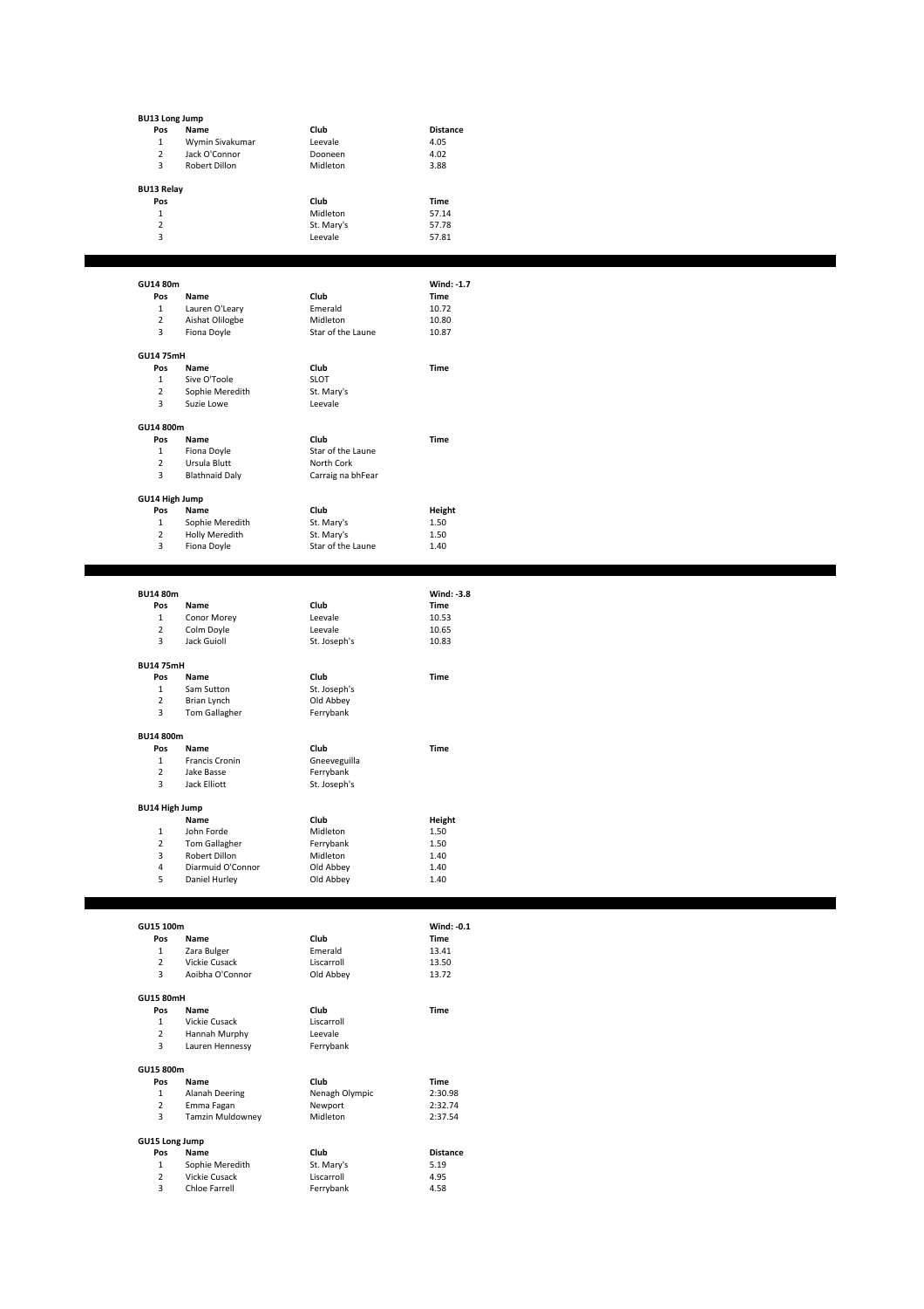| <b>BU13 Long Jump</b> | Name                             | Club                     | Distance        |
|-----------------------|----------------------------------|--------------------------|-----------------|
| Pos<br>$\mathbf{1}$   | Wymin Sivakumar                  | Leevale                  | 4.05            |
| $\mathbf 2$           | Jack O'Connor                    | Dooneen                  | 4.02            |
| 3                     | Robert Dillon                    | Midleton                 | 3.88            |
|                       |                                  |                          |                 |
| <b>BU13 Relay</b>     |                                  |                          |                 |
| Pos                   |                                  | Club                     | Time            |
| $\mathbf{1}$          |                                  | Midleton                 | 57.14           |
| $\overline{2}$        |                                  | St. Mary's               | 57.78           |
| 3                     |                                  | Leevale                  | 57.81           |
|                       |                                  |                          |                 |
|                       |                                  |                          |                 |
| GU14 80m              |                                  |                          | Wind: -1.7      |
| Pos                   | Name                             | Club                     | Time            |
| $\mathbf{1}$          | Lauren O'Leary                   | Emerald                  | 10.72           |
| $\mathbf 2$           | Aishat Olilogbe                  | Midleton                 | 10.80           |
| 3                     | Fiona Doyle                      | Star of the Laune        | 10.87           |
|                       |                                  |                          |                 |
| <b>GU14 75mH</b>      |                                  |                          |                 |
| Pos                   | Name                             | Club                     | Time            |
| $\mathbf{1}$          | Sive O'Toole                     | <b>SLOT</b>              |                 |
| $\overline{2}$<br>3   | Sophie Meredith                  | St. Mary's               |                 |
|                       | Suzie Lowe                       | Leevale                  |                 |
| GU14 800m             |                                  |                          |                 |
| Pos                   | Name                             | Club                     | Time            |
| $\mathbf{1}$          | Fiona Doyle                      | Star of the Laune        |                 |
| $\overline{2}$        | Ursula Blutt                     | North Cork               |                 |
| 3                     | <b>Blathnaid Daly</b>            | Carraig na bhFear        |                 |
|                       |                                  |                          |                 |
| GU14 High Jump        |                                  |                          |                 |
| Pos                   | Name                             | Club                     | Height          |
| $\mathbf{1}$          | Sophie Meredith                  | St. Mary's               | 1.50            |
| $\overline{2}$        | Holly Meredith                   | St. Mary's               | 1.50            |
| 3                     | Fiona Doyle                      | Star of the Laune        | 1.40            |
|                       |                                  |                          |                 |
|                       |                                  |                          |                 |
| <b>BU14 80m</b>       |                                  |                          | Wind: -3.8      |
| Pos                   | Name                             | Club                     | Time            |
| $\mathbf{1}$          | Conor Morey                      | Leevale                  | 10.53           |
| $\overline{2}$        | Colm Doyle                       | Leevale                  | 10.65           |
| 3                     | Jack Guioll                      | St. Joseph's             | 10.83           |
|                       |                                  |                          |                 |
| <b>BU14 75mH</b>      |                                  |                          |                 |
| Pos                   | Name                             | Club                     | Time            |
| $\mathbf{1}$          | Sam Sutton                       | St. Joseph's             |                 |
| $\overline{2}$<br>3   | Brian Lynch<br>Tom Gallagher     | Old Abbey<br>Ferrybank   |                 |
|                       |                                  |                          |                 |
| BU14 800m             |                                  |                          |                 |
| Pos                   | Name                             | Club                     | Time            |
| $\mathbf{1}$          | Francis Cronin                   | Gneeveguilla             |                 |
| $\overline{2}$        | Jake Basse                       | Ferrybank                |                 |
| 3                     | Jack Elliott                     | St. Joseph's             |                 |
|                       |                                  |                          |                 |
| <b>BU14 High Jump</b> |                                  |                          |                 |
|                       | Name                             | Club                     | Height          |
| $\mathbf 1$           | John Forde                       | Midleton                 | 1.50            |
| $\mathbf 2$<br>3      | Tom Gallagher<br>Robert Dillon   | Ferrybank<br>Midleton    | 1.50<br>1.40    |
| 4                     | Diarmuid O'Connor                | Old Abbey                | 1.40            |
| 5                     | Daniel Hurley                    | Old Abbey                | 1.40            |
|                       |                                  |                          |                 |
|                       |                                  |                          |                 |
|                       |                                  |                          |                 |
| GU15 100m             |                                  |                          | Wind: -0.1      |
| Pos                   | Name                             | Club                     | Time            |
| $\mathbf 1$           | Zara Bulger                      | Emerald                  | 13.41           |
| $\mathbf 2$           | Vickie Cusack                    | Liscarroll               | 13.50           |
| 3                     | Aoibha O'Connor                  | Old Abbey                | 13.72           |
| <b>GU15 80mH</b>      |                                  |                          |                 |
| Pos                   | Name                             | Club                     | Time            |
| $\mathbf{1}$          | Vickie Cusack                    | Liscarroll               |                 |
| $\overline{2}$        | Hannah Murphy                    | Leevale                  |                 |
| 3                     | Lauren Hennessy                  | Ferrybank                |                 |
|                       |                                  |                          |                 |
| GU15 800m             |                                  |                          |                 |
| Pos                   | Name                             | Club                     | Time            |
| $\mathbf 1$           | Alanah Deering                   | Nenagh Olympic           | 2:30.98         |
| $\overline{2}$        | Emma Fagan                       | Newport                  | 2:32.74         |
| 3                     | Tamzin Muldowney                 | Midleton                 | 2:37.54         |
|                       |                                  |                          |                 |
| GU15 Long Jump        |                                  |                          |                 |
| Pos                   | Name                             | Club                     | <b>Distance</b> |
| $\mathbf{1}$          | Sophie Meredith<br>Vickie Cusack | St. Mary's<br>Liscarroll | 5.19            |
| $\mathbf 2$<br>3      | Chloe Farrell                    | Ferrybank                | 4.95<br>4.58    |
|                       |                                  |                          |                 |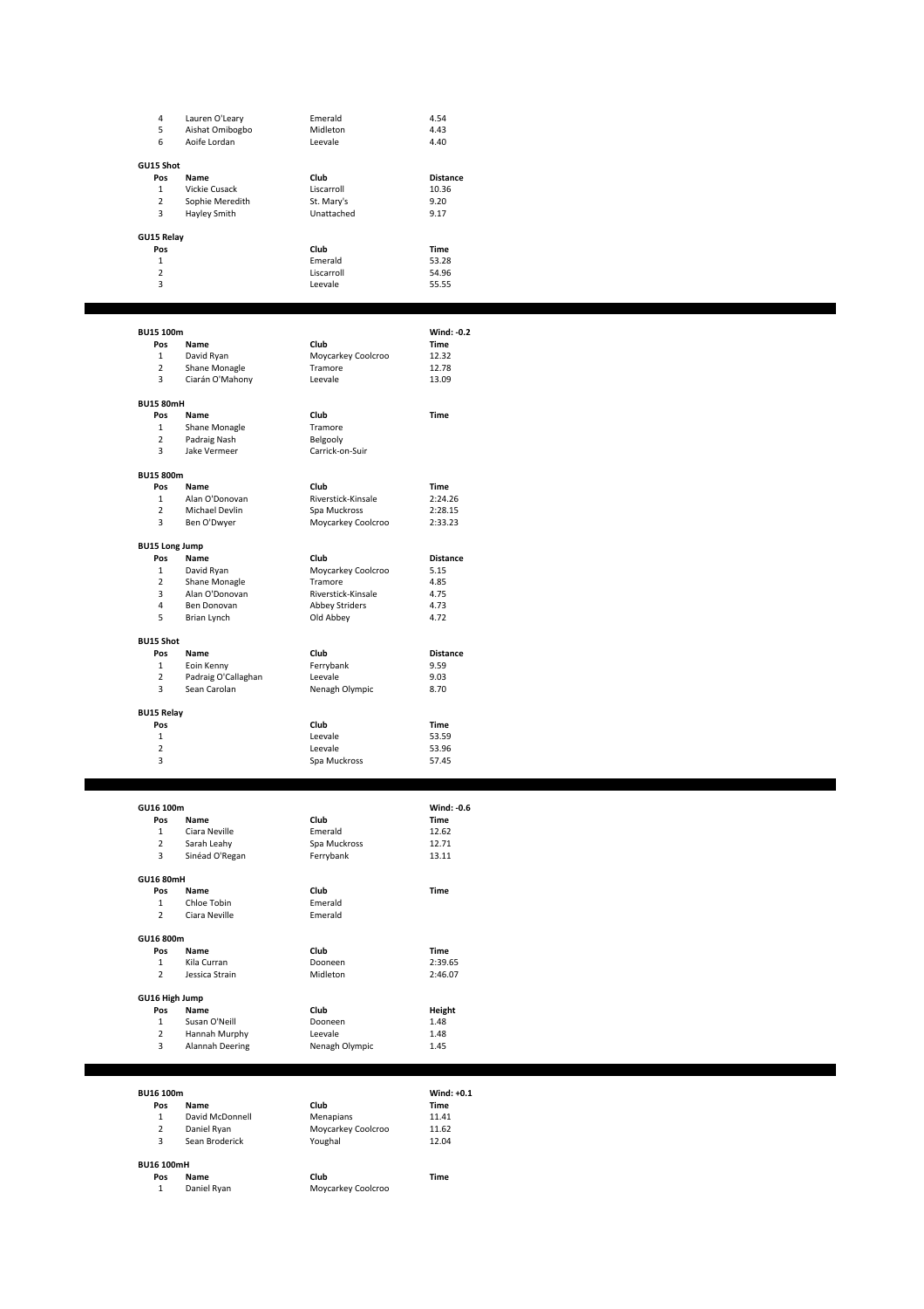| 4              | Lauren O'Leary  | <b>Fmerald</b> | 4.54            |
|----------------|-----------------|----------------|-----------------|
| 5              | Aishat Omibogbo | Midleton       | 4.43            |
| 6              | Aoife Lordan    | Leevale        | 4.40            |
| GU15 Shot      |                 |                |                 |
| Pos            | <b>Name</b>     | Club           | <b>Distance</b> |
| $\mathbf{1}$   | Vickie Cusack   | Liscarroll     | 10.36           |
| $\overline{2}$ | Sophie Meredith | St. Mary's     | 9.20            |
| 3              | Hayley Smith    | Unattached     | 9.17            |
| GU15 Relay     |                 |                |                 |
| Pos            |                 | Club           | <b>Time</b>     |
| 1              |                 | <b>Fmerald</b> | 53.28           |
| $\overline{2}$ |                 | Liscarroll     | 54.96           |
| 3              |                 | Leevale        | 55.55           |
|                |                 |                |                 |

| BU15 100m             |                     |                       | Wind: -0.2      |
|-----------------------|---------------------|-----------------------|-----------------|
| Pos                   | Name                | Club                  | Time            |
| 1                     | David Ryan          | Moycarkey Coolcroo    | 12.32           |
| $\overline{2}$        | Shane Monagle       | Tramore               | 12.78           |
| 3                     | Ciarán O'Mahony     | Leevale               | 13.09           |
| <b>BU15 80mH</b>      |                     |                       |                 |
| Pos                   | Name                | Club                  | <b>Time</b>     |
| 1                     | Shane Monagle       | Tramore               |                 |
| $\overline{2}$        | Padraig Nash        | Belgooly              |                 |
| 3                     | Jake Vermeer        | Carrick-on-Suir       |                 |
|                       |                     |                       |                 |
| <b>BU15 800m</b>      |                     |                       |                 |
| Pos                   | Name                | Club                  | <b>Time</b>     |
| $\mathbf{1}$          | Alan O'Donovan      | Riverstick-Kinsale    | 2:24.26         |
| $\overline{2}$        | Michael Devlin      | Spa Muckross          | 2:28.15         |
| 3                     | Ben O'Dwyer         | Moycarkey Coolcroo    | 2:33.23         |
| <b>BU15 Long Jump</b> |                     |                       |                 |
| Pos                   | Name                | Club                  | <b>Distance</b> |
| $\mathbf{1}$          | David Ryan          | Moycarkey Coolcroo    | 5.15            |
| $\overline{2}$        | Shane Monagle       | Tramore               | 4.85            |
| 3                     | Alan O'Donovan      | Riverstick-Kinsale    | 4.75            |
| 4                     | Ben Donovan         | <b>Abbey Striders</b> | 4.73            |
| 5                     | Brian Lynch         | Old Abbey             | 4.72            |
|                       |                     |                       |                 |
| <b>BU15 Shot</b>      |                     |                       |                 |
| Pos                   | Name                | Club                  | <b>Distance</b> |
| $\mathbf{1}$          | Eoin Kenny          | Ferrybank             | 9.59            |
| $\overline{2}$        | Padraig O'Callaghan | Leevale               | 9.03            |
| 3                     | Sean Carolan        | Nenagh Olympic        | 8.70            |
| <b>BU15 Relay</b>     |                     |                       |                 |
| Pos                   |                     | Club                  | <b>Time</b>     |
| 1                     |                     | Leevale               | 53.59           |
| $\overline{2}$        |                     | Leevale               | 53.96           |
| 3                     |                     | Spa Muckross          | 57.45           |
|                       |                     |                       |                 |

| GU16 100m        |                 |                | Wind: -0.6 |
|------------------|-----------------|----------------|------------|
| Pos              | Name            | Club           | Time       |
| 1                | Ciara Neville   | <b>Fmerald</b> | 12.62      |
| $\overline{2}$   | Sarah Leahy     | Spa Muckross   | 12.71      |
| 3                | Sinéad O'Regan  | Ferrybank      | 13.11      |
| <b>GU16 80mH</b> |                 |                |            |
| Pos              | Name            | Club           | Time       |
| 1                | Chloe Tobin     | Emerald        |            |
| $\overline{2}$   | Ciara Neville   | Emerald        |            |
| GU16 800m        |                 |                |            |
| Pos              | Name            | Club           | Time       |
| $\mathbf{1}$     | Kila Curran     | Dooneen        | 2:39.65    |
| $\overline{2}$   | Jessica Strain  | Midleton       | 2:46.07    |
| GU16 High Jump   |                 |                |            |
| Pos              | Name            | Club           | Height     |
| 1                | Susan O'Neill   | Dooneen        | 1.48       |
| $\overline{2}$   | Hannah Murphy   | Leevale        | 1.48       |
| 3                | Alannah Deering | Nenagh Olympic | 1.45       |

| <b>BU16 100m</b>  |                 |                    | Wind: $+0.1$ |
|-------------------|-----------------|--------------------|--------------|
| Pos               | Name            | Club               | <b>Time</b>  |
| 1                 | David McDonnell | Menapians          | 11.41        |
| $\overline{2}$    | Daniel Ryan     | Moycarkey Coolcroo | 11.62        |
| 3                 | Sean Broderick  | Youghal            | 12.04        |
| <b>BU16 100mH</b> |                 |                    |              |
| Pos               | Name            | Club               | <b>Time</b>  |
| 1                 | Daniel Ryan     | Moycarkey Coolcroo |              |